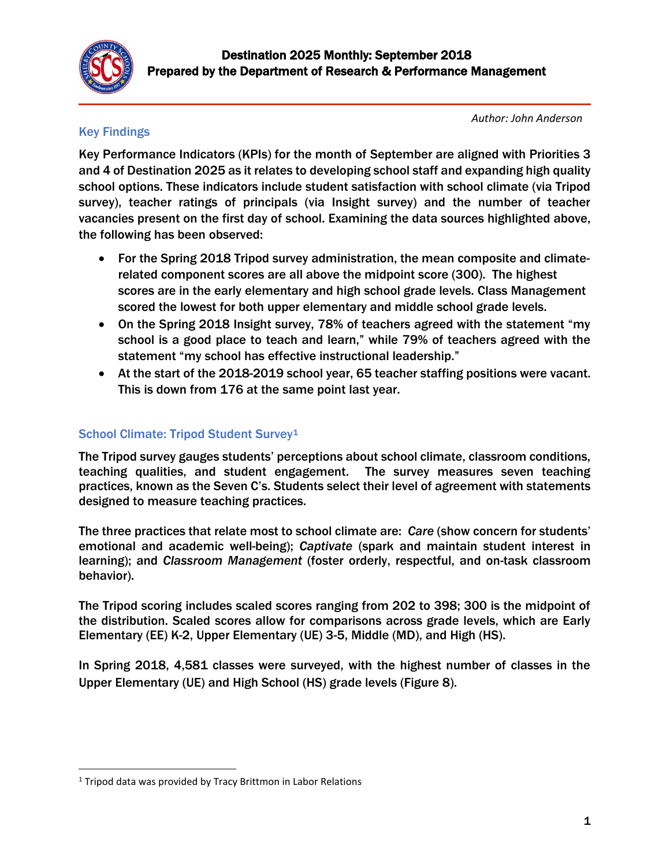

# Key Findings

*Author: John Anderson* 

Key Performance Indicators (KPIs) for the month of September are aligned with Priorities 3 and 4 of Destination 2025 as it relates to developing school staff and expanding high quality school options. These indicators include student satisfaction with school climate (via Tripod survey), teacher ratings of principals (via Insight survey) and the number of teacher vacancies present on the first day of school. Examining the data sources highlighted above, the following has been observed:

- For the Spring 2018 Tripod survey administration, the mean composite and climaterelated component scores are all above the midpoint score (300). The highest scores are in the early elementary and high school grade levels. Class Management scored the lowest for both upper elementary and middle school grade levels.
- On the Spring 2018 Insight survey, 78% of teachers agreed with the statement "my school is a good place to teach and learn," while 79% of teachers agreed with the statement "my school has effective instructional leadership."
- At the start of the 2018-2019 school year, 65 teacher staffing positions were vacant. This is down from 176 at the same point last year.

# School Climate: Tripod Student Survey<sup>1</sup>

The Tripod survey gauges students' perceptions about school climate, classroom conditions, teaching qualities, and student engagement. The survey measures seven teaching practices, known as the Seven C's. Students select their level of agreement with statements designed to measure teaching practices.

The three practices that relate most to school climate are: *Care* (show concern for students' emotional and academic well-being); *Captivate* (spark and maintain student interest in learning); and *Classroom Management* (foster orderly, respectful, and on-task classroom behavior).

The Tripod scoring includes scaled scores ranging from 202 to 398; 300 is the midpoint of the distribution. Scaled scores allow for comparisons across grade levels, which are Early Elementary (EE) K-2, Upper Elementary (UE) 3-5, Middle (MD), and High (HS).

In Spring 2018, 4,581 classes were surveyed, with the highest number of classes in the Upper Elementary (UE) and High School (HS) grade levels (Figure 8).

 $\overline{\phantom{a}}$ 

<sup>&</sup>lt;sup>1</sup> Tripod data was provided by Tracy Brittmon in Labor Relations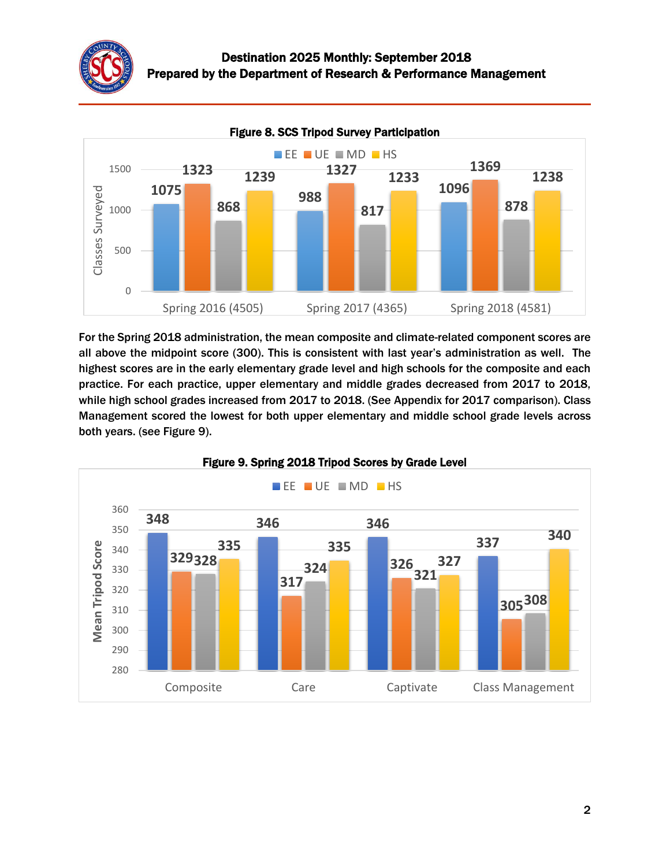



For the Spring 2018 administration, the mean composite and climate-related component scores are all above the midpoint score (300). This is consistent with last year's administration as well. The highest scores are in the early elementary grade level and high schools for the composite and each practice. For each practice, upper elementary and middle grades decreased from 2017 to 2018, while high school grades increased from 2017 to 2018. (See Appendix for 2017 comparison). Class Management scored the lowest for both upper elementary and middle school grade levels across both years. (see Figure 9).



### Figure 9. Spring 2018 Tripod Scores by Grade Level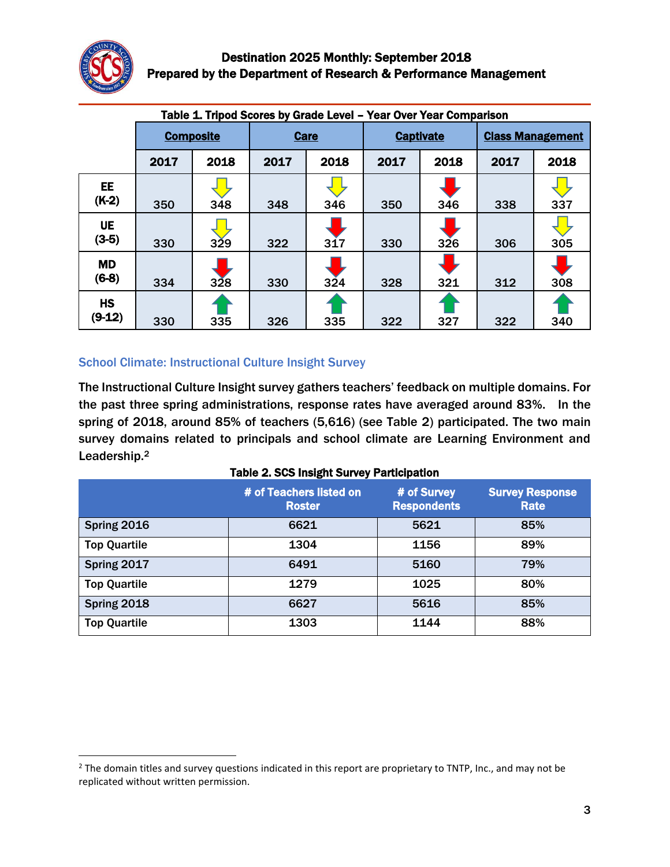

 $\overline{\phantom{a}}$ 

| Table 1. Tripod Scores by Grade Level - Year Over Year Comparison |                  |      |             |      |                  |      |                         |      |
|-------------------------------------------------------------------|------------------|------|-------------|------|------------------|------|-------------------------|------|
|                                                                   | <b>Composite</b> |      | <b>Care</b> |      | <b>Captivate</b> |      | <b>Class Management</b> |      |
|                                                                   | 2017             | 2018 | 2017        | 2018 | 2017             | 2018 | 2017                    | 2018 |
| <b>EE</b><br>$(K-2)$                                              | 350              | 348  | 348         | 346  | 350              | 346  | 338                     | 337  |
| <b>UE</b><br>$(3-5)$                                              | 330              | 329  | 322         | 317  | 330              | 326  | 306                     | 305  |
| <b>MD</b><br>$(6-8)$                                              | 334              | 328  | 330         | 324  | 328              | 321  | 312                     | 308  |
| <b>HS</b><br>$(9-12)$                                             | 330              | 335  | 326         | 335  | 322              | 327  | 322                     | 340  |

## School Climate: Instructional Culture Insight Survey

The Instructional Culture Insight survey gathers teachers' feedback on multiple domains. For the past three spring administrations, response rates have averaged around 83%. In the spring of 2018, around 85% of teachers (5,616) (see Table 2) participated. The two main survey domains related to principals and school climate are Learning Environment and Leadership.<sup>2</sup>

#### Table 2. SCS Insight Survey Participation

|                     | # of Teachers listed on<br><b>Roster</b> | # of Survey<br><b>Respondents</b> | <b>Survey Response</b><br>Rate |
|---------------------|------------------------------------------|-----------------------------------|--------------------------------|
| Spring 2016         | 6621                                     | 5621                              | 85%                            |
| <b>Top Quartile</b> | 1304                                     | 1156                              | 89%                            |
| Spring 2017         | 6491                                     | 5160                              | 79%                            |
| <b>Top Quartile</b> | 1279                                     | 1025                              | 80%                            |
| Spring 2018         | 6627                                     | 5616                              | 85%                            |
| <b>Top Quartile</b> | 1303                                     | 1144                              | 88%                            |

 $<sup>2</sup>$  The domain titles and survey questions indicated in this report are proprietary to TNTP, Inc., and may not be</sup> replicated without written permission.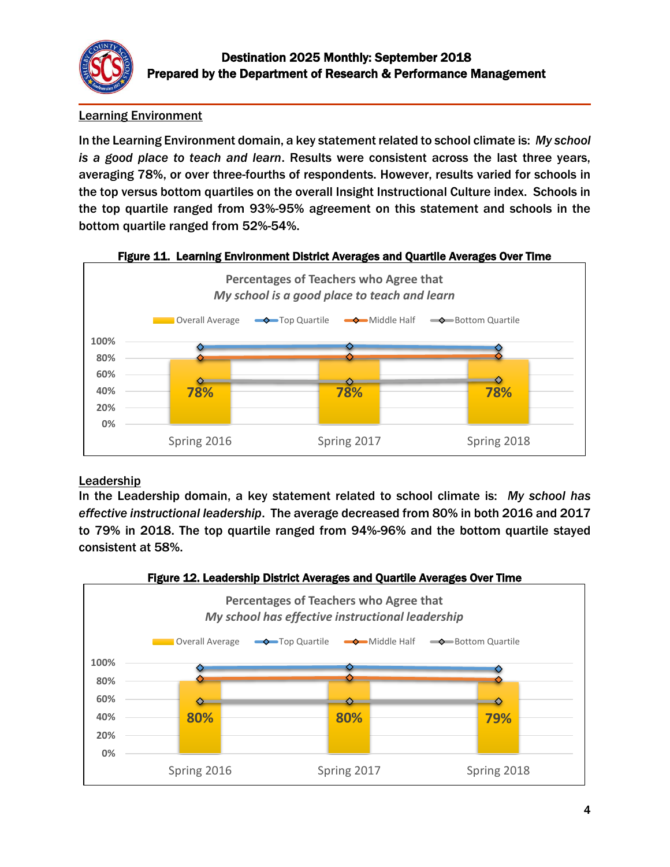

# Learning Environment

In the Learning Environment domain, a key statement related to school climate is: *My school is a good place to teach and learn*. Results were consistent across the last three years, averaging 78%, or over three-fourths of respondents. However, results varied for schools in the top versus bottom quartiles on the overall Insight Instructional Culture index. Schools in the top quartile ranged from 93%-95% agreement on this statement and schools in the bottom quartile ranged from 52%-54%.



### Figure 11. Learning Environment District Averages and Quartile Averages Over Time

# Leadership

In the Leadership domain, a key statement related to school climate is: *My school has effective instructional leadership*. The average decreased from 80% in both 2016 and 2017 to 79% in 2018. The top quartile ranged from 94%-96% and the bottom quartile stayed consistent at 58%.

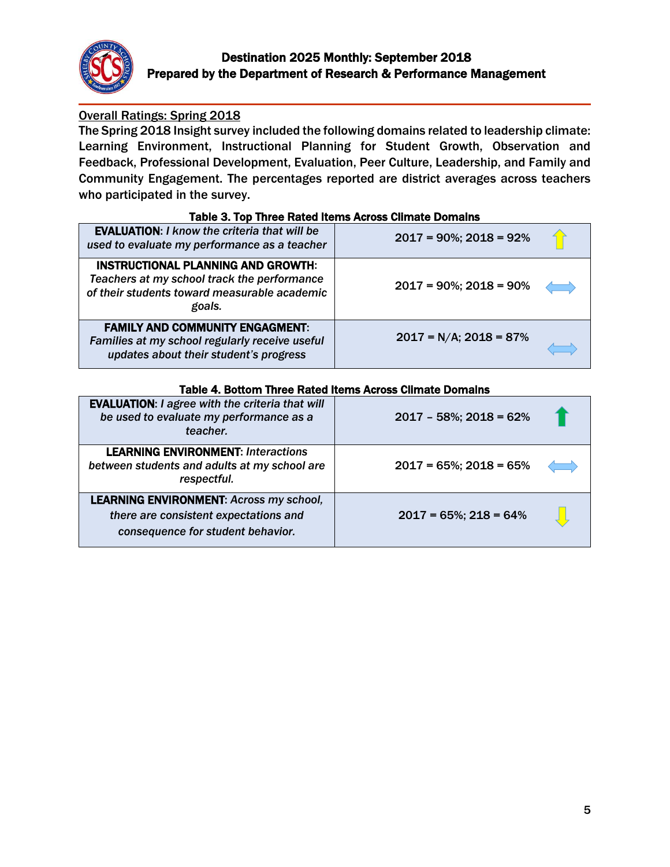

# Overall Ratings: Spring 2018

The Spring 2018 Insight survey included the following domains related to leadership climate: Learning Environment, Instructional Planning for Student Growth, Observation and Feedback, Professional Development, Evaluation, Peer Culture, Leadership, and Family and Community Engagement. The percentages reported are district averages across teachers who participated in the survey.

| Table Of TOD THREE Rated Reflip Across Office Dollians                                                                                      |                               |  |  |  |
|---------------------------------------------------------------------------------------------------------------------------------------------|-------------------------------|--|--|--|
| <b>EVALUATION: I know the criteria that will be</b><br>used to evaluate my performance as a teacher                                         | $2017 = 90\%$ ; $2018 = 92\%$ |  |  |  |
| INSTRUCTIONAL PLANNING AND GROWTH:<br>Teachers at my school track the performance<br>of their students toward measurable academic<br>goals. | $2017 = 90\%$ ; $2018 = 90\%$ |  |  |  |
| <b>FAMILY AND COMMUNITY ENGAGMENT:</b><br>Families at my school regularly receive useful<br>updates about their student's progress          | $2017 = N/A$ ; $2018 = 87\%$  |  |  |  |

#### Table 3. Top Three Rated Items Across Climate Domains

| Table 4. Dulluit Three Raled Renis Actuss Unitale Duitlans                                                                   |                               |  |  |  |
|------------------------------------------------------------------------------------------------------------------------------|-------------------------------|--|--|--|
| <b>EVALUATION: I agree with the criteria that will</b><br>be used to evaluate my performance as a<br>teacher.                | $2017 - 58\%; 2018 = 62\%$    |  |  |  |
| <b>LEARNING ENVIRONMENT: Interactions</b><br>between students and adults at my school are<br>respectful.                     | $2017 = 65\%$ ; $2018 = 65\%$ |  |  |  |
| <b>LEARNING ENVIRONMENT: Across my school,</b><br>there are consistent expectations and<br>consequence for student behavior. | $2017 = 65\%$ ; $218 = 64\%$  |  |  |  |

#### Table 4. Bottom Three Rated Items Across Climate Domains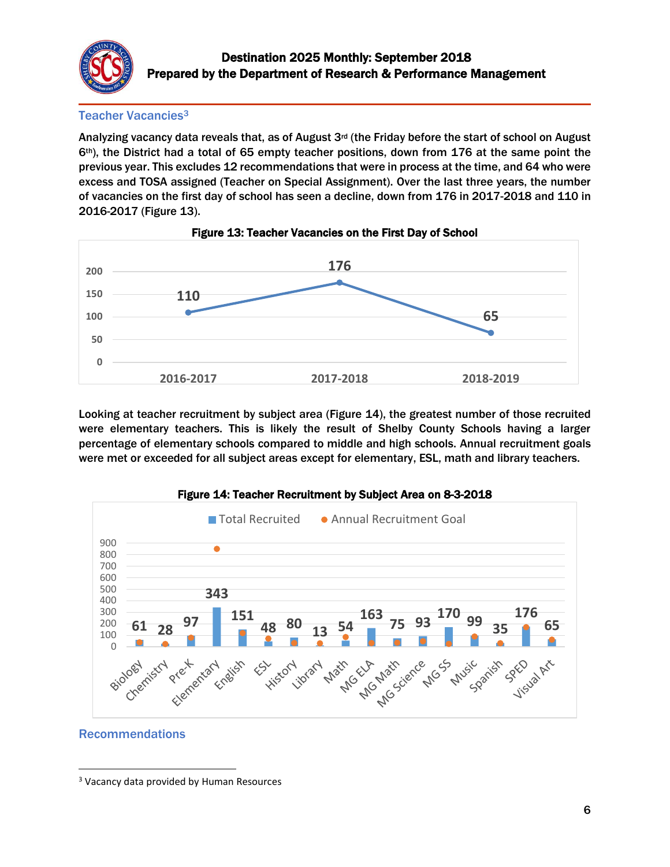

Teacher Vacancies<sup>3</sup>

Analyzing vacancy data reveals that, as of August 3rd (the Friday before the start of school on August th), the District had a total of 65 empty teacher positions, down from 176 at the same point the previous year. This excludes 12 recommendations that were in process at the time, and 64 who were excess and TOSA assigned (Teacher on Special Assignment). Over the last three years, the number of vacancies on the first day of school has seen a decline, down from 176 in 2017-2018 and 110 in 2016-2017 (Figure 13).





Looking at teacher recruitment by subject area (Figure 14), the greatest number of those recruited were elementary teachers. This is likely the result of Shelby County Schools having a larger percentage of elementary schools compared to middle and high schools. Annual recruitment goals were met or exceeded for all subject areas except for elementary, ESL, math and library teachers.





### Recommendations

 $\overline{\phantom{a}}$ Vacancy data provided by Human Resources